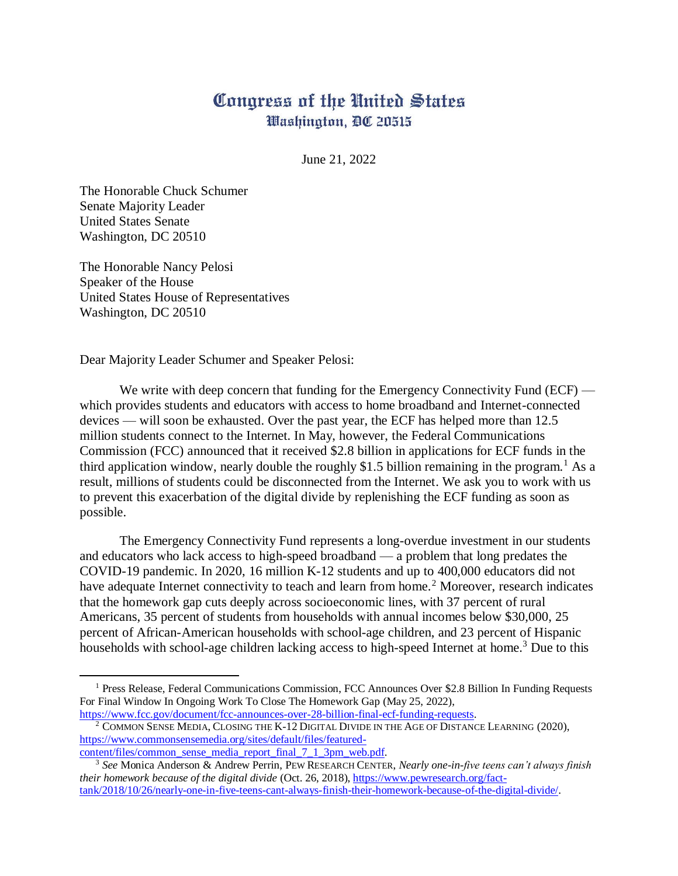## Congress of the United States Washington, DC 20515

June 21, 2022

The Honorable Chuck Schumer Senate Majority Leader United States Senate Washington, DC 20510

 $\ddot{\phantom{a}}$ 

The Honorable Nancy Pelosi Speaker of the House United States House of Representatives Washington, DC 20510

Dear Majority Leader Schumer and Speaker Pelosi:

We write with deep concern that funding for the Emergency Connectivity Fund (ECF) which provides students and educators with access to home broadband and Internet-connected devices — will soon be exhausted. Over the past year, the ECF has helped more than 12.5 million students connect to the Internet. In May, however, the Federal Communications Commission (FCC) announced that it received \$2.8 billion in applications for ECF funds in the third application window, nearly double the roughly \$1.5 billion remaining in the program.<sup>1</sup> As a result, millions of students could be disconnected from the Internet. We ask you to work with us to prevent this exacerbation of the digital divide by replenishing the ECF funding as soon as possible.

The Emergency Connectivity Fund represents a long-overdue investment in our students and educators who lack access to high-speed broadband — a problem that long predates the COVID-19 pandemic. In 2020, 16 million K-12 students and up to 400,000 educators did not have adequate Internet connectivity to teach and learn from home.<sup>2</sup> Moreover, research indicates that the homework gap cuts deeply across socioeconomic lines, with 37 percent of rural Americans, 35 percent of students from households with annual incomes below \$30,000, 25 percent of African-American households with school-age children, and 23 percent of Hispanic households with school-age children lacking access to high-speed Internet at home.<sup>3</sup> Due to this

<sup>&</sup>lt;sup>1</sup> Press Release, Federal Communications Commission, FCC Announces Over \$2.8 Billion In Funding Requests For Final Window In Ongoing Work To Close The Homework Gap (May 25, 2022), [https://www.fcc.gov/document/fcc-announces-over-28-billion-final-ecf-funding-requests.](https://www.fcc.gov/document/fcc-announces-over-28-billion-final-ecf-funding-requests)

<sup>&</sup>lt;sup>2</sup> COMMON SENSE MEDIA, CLOSING THE K-12 DIGITAL DIVIDE IN THE AGE OF DISTANCE LEARNING (2020), [https://www.commonsensemedia.org/sites/default/files/featured](https://www.commonsensemedia.org/sites/default/files/featured-content/files/common_sense_media_report_final_7_1_3pm_web.pdf)[content/files/common\\_sense\\_media\\_report\\_final\\_7\\_1\\_3pm\\_web.pdf.](https://www.commonsensemedia.org/sites/default/files/featured-content/files/common_sense_media_report_final_7_1_3pm_web.pdf)

<sup>3</sup> *See* Monica Anderson & Andrew Perrin, PEW RESEARCH CENTER, *Nearly one-in-five teens can't always finish their homework because of the digital divide* (Oct. 26, 2018), [https://www.pewresearch.org/fact](https://www.pewresearch.org/fact-tank/2018/10/26/nearly-one-in-five-teens-cant-always-finish-their-homework-because-of-the-digital-divide/)[tank/2018/10/26/nearly-one-in-five-teens-cant-always-finish-their-homework-because-of-the-digital-divide/.](https://www.pewresearch.org/fact-tank/2018/10/26/nearly-one-in-five-teens-cant-always-finish-their-homework-because-of-the-digital-divide/)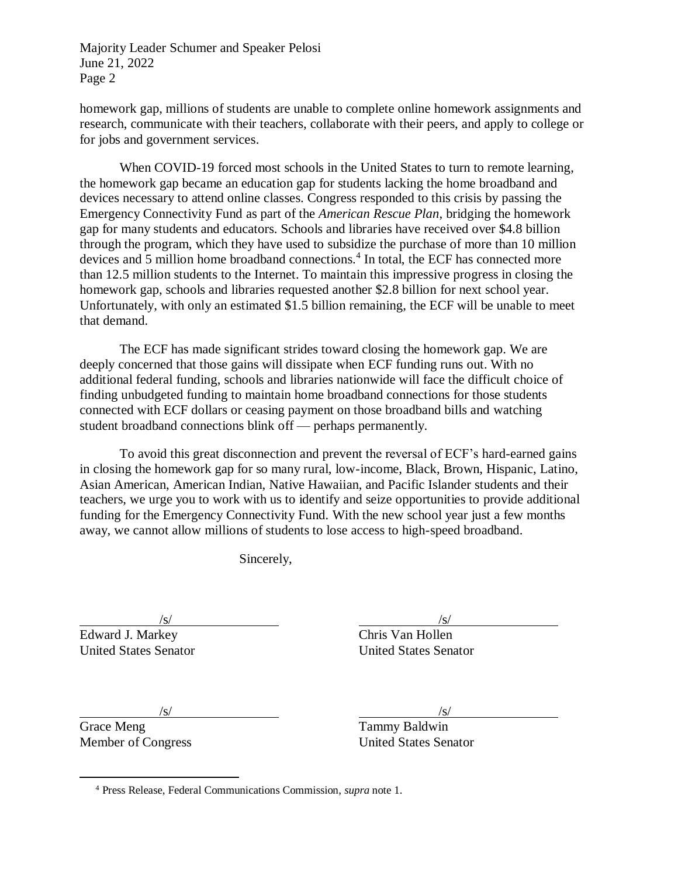homework gap, millions of students are unable to complete online homework assignments and research, communicate with their teachers, collaborate with their peers, and apply to college or for jobs and government services.

When COVID-19 forced most schools in the United States to turn to remote learning, the homework gap became an education gap for students lacking the home broadband and devices necessary to attend online classes. Congress responded to this crisis by passing the Emergency Connectivity Fund as part of the *American Rescue Plan*, bridging the homework gap for many students and educators. Schools and libraries have received over \$4.8 billion through the program, which they have used to subsidize the purchase of more than 10 million devices and 5 million home broadband connections.<sup>4</sup> In total, the ECF has connected more than 12.5 million students to the Internet. To maintain this impressive progress in closing the homework gap, schools and libraries requested another \$2.8 billion for next school year. Unfortunately, with only an estimated \$1.5 billion remaining, the ECF will be unable to meet that demand.

The ECF has made significant strides toward closing the homework gap. We are deeply concerned that those gains will dissipate when ECF funding runs out. With no additional federal funding, schools and libraries nationwide will face the difficult choice of finding unbudgeted funding to maintain home broadband connections for those students connected with ECF dollars or ceasing payment on those broadband bills and watching student broadband connections blink off — perhaps permanently.

To avoid this great disconnection and prevent the reversal of ECF's hard-earned gains in closing the homework gap for so many rural, low-income, Black, Brown, Hispanic, Latino, Asian American, American Indian, Native Hawaiian, and Pacific Islander students and their teachers, we urge you to work with us to identify and seize opportunities to provide additional funding for the Emergency Connectivity Fund. With the new school year just a few months away, we cannot allow millions of students to lose access to high-speed broadband.

Sincerely,

Edward J. Markey Chris Van Hollen United States Senator United States Senator

 $\sqrt{s}$ / $\sqrt{s}$ / $\sqrt{s}$ / $\sqrt{s}$ / $\sqrt{s}$ / $\sqrt{s}$ / $\sqrt{s}$ / $\sqrt{s}$ / $\sqrt{s}$ / $\sqrt{s}$ / $\sqrt{s}$ / $\sqrt{s}$ / $\sqrt{s}$ / $\sqrt{s}$ / $\sqrt{s}$ / $\sqrt{s}$ / $\sqrt{s}$ / $\sqrt{s}$ / $\sqrt{s}$ / $\sqrt{s}$ / $\sqrt{s}$ / $\sqrt{s}$ / $\sqrt{s}$ / $\sqrt{s}$ / $\sqrt{s}$ / $\sqrt{s}$ / $\sqrt{s}$ / $\sqrt{s}$ / $\sqrt{s}$ / $\sqrt{s}$ / $\sqrt{s}$ / $\sqrt{s$ 

Grace Meng Tammy Baldwin

 $\ddot{\phantom{a}}$ 

 $\sqrt{s}$ / $\sqrt{s}$ / $\sqrt{s}$ / $\sqrt{s}$ / $\sqrt{s}$ / $\sqrt{s}$ / $\sqrt{s}$ / $\sqrt{s}$ / $\sqrt{s}$ / $\sqrt{s}$ / $\sqrt{s}$ / $\sqrt{s}$ / $\sqrt{s}$ / $\sqrt{s}$ / $\sqrt{s}$ / $\sqrt{s}$ / $\sqrt{s}$ / $\sqrt{s}$ / $\sqrt{s}$ / $\sqrt{s}$ / $\sqrt{s}$ / $\sqrt{s}$ / $\sqrt{s}$ / $\sqrt{s}$ / $\sqrt{s}$ / $\sqrt{s}$ / $\sqrt{s}$ / $\sqrt{s}$ / $\sqrt{s}$ / $\sqrt{s}$ / $\sqrt{s}$ / $\sqrt{s$ 

Member of Congress United States Senator

<sup>4</sup> Press Release, Federal Communications Commission, *supra* note 1.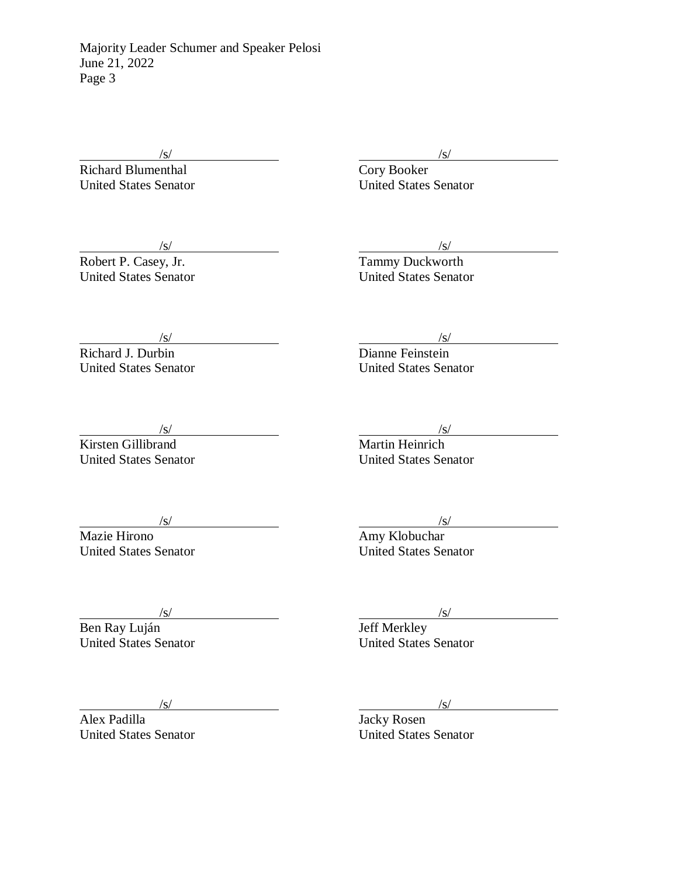Richard Blumenthal

 $\frac{1}{s}$  /s/

Robert P. Casey, Jr. Tammy Duckworth Value of the United States Senator<br>
United States Senator<br>
United States Senator<br>
United States Senator

 $\frac{\sqrt{s}}{\sqrt{s}}$ <br>  $\frac{\sqrt{s}}{\sqrt{s}}$ <br>  $\frac{\sqrt{s}}{\sqrt{s}}$ United States Senator United States Senator

 $\frac{1}{s}$  /s/

Richard J. Durbin Dianne Feinstein United States Senator United States Senator

 $\frac{\sqrt{s}}{\text{Kirsten Gillibrand}}$  /s/<br> $\frac{\sqrt{s}}{\text{Martin Heinrich}}$ Kirsten Gillibrand

United States Senator United States Senator

 $\sqrt{s}$ / $\sqrt{s}$ / $\sqrt{s}$ / $\sqrt{s}$ / $\sqrt{s}$ / $\sqrt{s}$ / $\sqrt{s}$ / $\sqrt{s}$ / $\sqrt{s}$ / $\sqrt{s}$ / $\sqrt{s}$ / $\sqrt{s}$ / $\sqrt{s}$ / $\sqrt{s}$ / $\sqrt{s}$ / $\sqrt{s}$ / $\sqrt{s}$ / $\sqrt{s}$ / $\sqrt{s}$ / $\sqrt{s}$ / $\sqrt{s}$ / $\sqrt{s}$ / $\sqrt{s}$ / $\sqrt{s}$ / $\sqrt{s}$ / $\sqrt{s}$ / $\sqrt{s}$ / $\sqrt{s}$ / $\sqrt{s}$ / $\sqrt{s}$ / $\sqrt{s}$ / $\sqrt{s$ 

Mazie Hirono **Amy Klobuchar** United States Senator United States Senator

Ben Ray Luján **III. A hatálat a Szent Ben Ray Luján** Jeff Merkley Valley<br>
United States Senator<br>
United States Senator<br>
United States Senator<br>
United States Senator

 $\sqrt{s}$ / $\sqrt{s}$ / $\sqrt{s}$ / $\sqrt{s}$ / $\sqrt{s}$ / $\sqrt{s}$ / $\sqrt{s}$ / $\sqrt{s}$ / $\sqrt{s}$ / $\sqrt{s}$ / $\sqrt{s}$ / $\sqrt{s}$ / $\sqrt{s}$ / $\sqrt{s}$ / $\sqrt{s}$ / $\sqrt{s}$ / $\sqrt{s}$ / $\sqrt{s}$ / $\sqrt{s}$ / $\sqrt{s}$ / $\sqrt{s}$ / $\sqrt{s}$ / $\sqrt{s}$ / $\sqrt{s}$ / $\sqrt{s}$ / $\sqrt{s}$ / $\sqrt{s}$ / $\sqrt{s}$ / $\sqrt{s}$ / $\sqrt{s}$ / $\sqrt{s}$ / $\sqrt{s$ 

/s/ /s/

Alex Padilla<br>
United States Senator<br>
United States Senator<br>
United States Senator United States Senator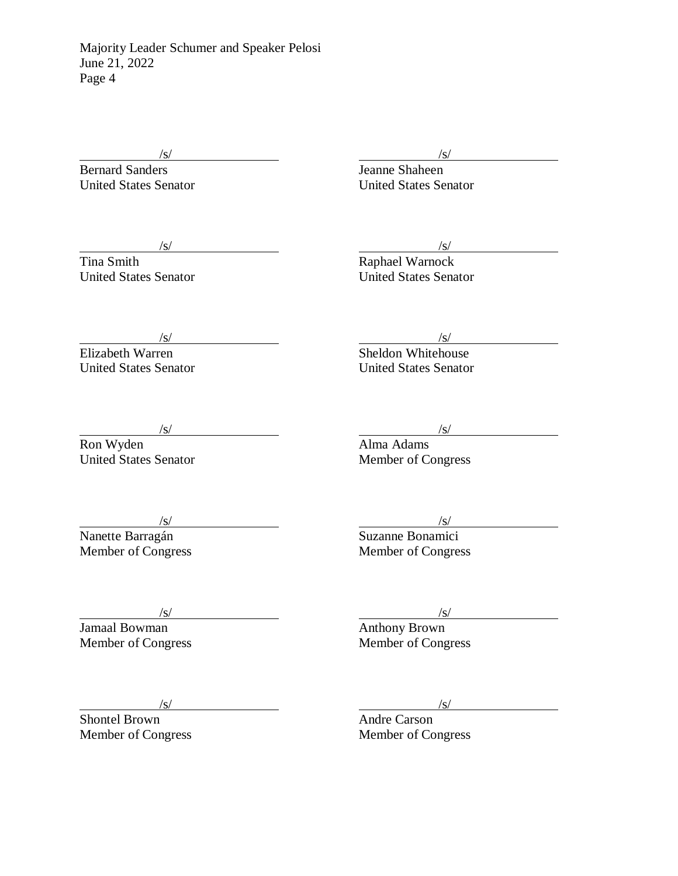Bernard Sanders **Jeanne Shaheen** 

 $\sqrt{s}$ / $\sqrt{s}$ / $\sqrt{s}$ / $\sqrt{s}$ / $\sqrt{s}$ / $\sqrt{s}$ / $\sqrt{s}$ / $\sqrt{s}$ / $\sqrt{s}$ / $\sqrt{s}$ / $\sqrt{s}$ / $\sqrt{s}$ / $\sqrt{s}$ / $\sqrt{s}$ / $\sqrt{s}$ / $\sqrt{s}$ / $\sqrt{s}$ / $\sqrt{s}$ / $\sqrt{s}$ / $\sqrt{s}$ / $\sqrt{s}$ / $\sqrt{s}$ / $\sqrt{s}$ / $\sqrt{s}$ / $\sqrt{s}$ / $\sqrt{s}$ / $\sqrt{s}$ / $\sqrt{s}$ / $\sqrt{s}$ / $\sqrt{s}$ / $\sqrt{s}$ / $\sqrt{s$ 

United States Senator United States Senator

 $\frac{1}{s}$  /s/

Tina Smith Raphael Warnock United States Senator United States Senator

 $\frac{1}{s}$  /s/

Elizabeth Warren Sheldon Whitehouse United States Senator United States Senator

Ron Wyden **Alma Adams** United States Senator Member of Congress

 $\sqrt{s}$ / $\sqrt{s}$ / $\sqrt{s}$ / $\sqrt{s}$ / $\sqrt{s}$ / $\sqrt{s}$ / $\sqrt{s}$ / $\sqrt{s}$ / $\sqrt{s}$ / $\sqrt{s}$ / $\sqrt{s}$ / $\sqrt{s}$ / $\sqrt{s}$ / $\sqrt{s}$ / $\sqrt{s}$ / $\sqrt{s}$ / $\sqrt{s}$ / $\sqrt{s}$ / $\sqrt{s}$ / $\sqrt{s}$ / $\sqrt{s}$ / $\sqrt{s}$ / $\sqrt{s}$ / $\sqrt{s}$ / $\sqrt{s}$ / $\sqrt{s}$ / $\sqrt{s}$ / $\sqrt{s}$ / $\sqrt{s}$ / $\sqrt{s}$ / $\sqrt{s}$ / $\sqrt{s$ 

 $\frac{1}{s}$  /s/

Nanette Barragán **Suzanne Bonamici** Suzanne Bonamici Vanette Barragán<br>
Manette Barragán<br>
Member of Congress Member of Congress

/s/ /s/ Member of Congress

 $\frac{|s|}{\text{Anthony Brown}}$ <br>Member of Congress

*(s)*<br>Shontel Brown *(s)*<br>Andre Carson Shontel Brown

Member of Congress Member of Congress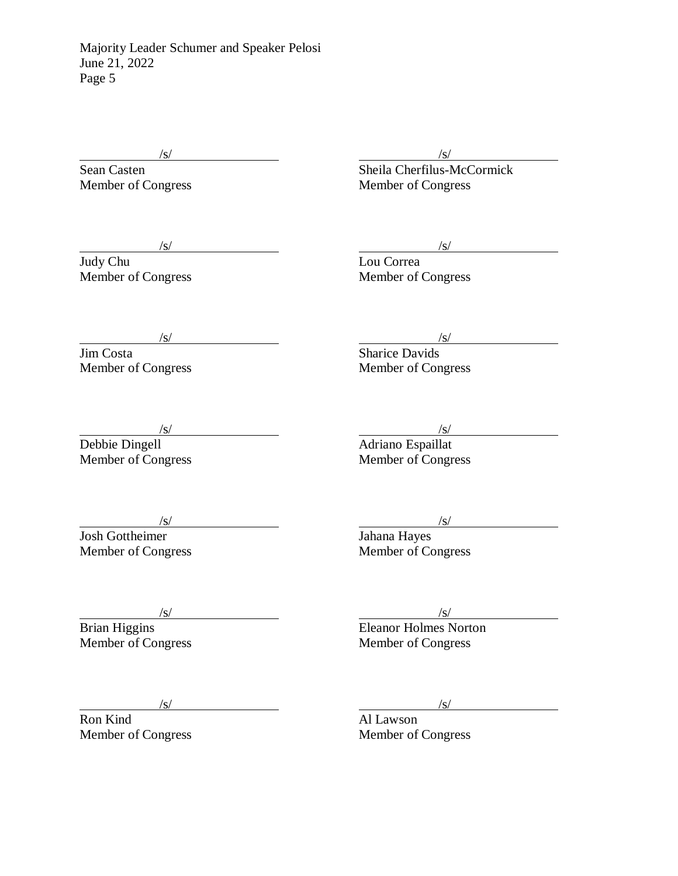$\sqrt{s/}$ 

Sean Casten (S/ Sean Casten (S/ Sheila Cherfilus-McCormick (Sheila Cherfilus-McCormick (Sheila Cherfilus-McCormick (Sheila Cherfilus-McCormick (Sheila Cherfilus-McCormick (Sheila Cherfilus-McCormick (Sheila Cherfilus-McCor Member of Congress Member of Congress

 $\frac{1}{s}$  /s/

Judy Chu Lou Correa Member of Congress Member of Congress

 $\sqrt{s}$ /  $\sqrt{s}$ /  $\sqrt{s}$ /  $\sqrt{s}$ /  $\sqrt{s}$ /  $\sqrt{s}$ /  $\sqrt{s}$ /  $\sqrt{s}$ /  $\sqrt{s}$ /  $\sqrt{s}$ /  $\sqrt{s}$ /  $\sqrt{s}$ /  $\sqrt{s}$ /  $\sqrt{s}$ /  $\sqrt{s}$ /  $\sqrt{s}$ /  $\sqrt{s}$ /  $\sqrt{s}$ /  $\sqrt{s}$ /  $\sqrt{s}$ /  $\sqrt{s}$ /  $\sqrt{s}$ /  $\sqrt{s}$ /  $\sqrt{s}$ /  $\sqrt{s}$ /  $\sqrt{s}$ /  $\sqrt{s}$ /  $\sqrt{s}$ 

Jim Costa Sharice Davids Member of Congress Member of Congress

 $\frac{1}{s}$  /s/

Debbie Dingell **Adriano** Espaillat (s)<br>
Member of Congress (s)<br>
Member of Congress (s)<br>
Member of Congress (s)<br>
Member of Congress (s)

 $\frac{1}{s}$  /s/

Josh Gottheimer Jahana Hayes Member of Congress Member of Congress

 $\frac{1}{s}$  /s/

Brian Higgins Eleanor Holmes Norton Member of Congress Member of Congress

Ron Kind

 $\sqrt{s/}$  /s/ / /s/ / /s/ / /s/ / /s/ / /s/ / /s/ / /s/ / /s/ / / /s/ / / /s/ / / / /s/ / / / /s/ / / / /s/ / / /s/ / / /s/ / / /s/ / / /s/ / / /s/ / / /s/ / / /s/ / /s/ / /s/ /s/ /s/ /s/ /s/ /s/ /s/ /s/ /s/ /s/ /s/ /s/ /s/ Member of Congress Member of Congress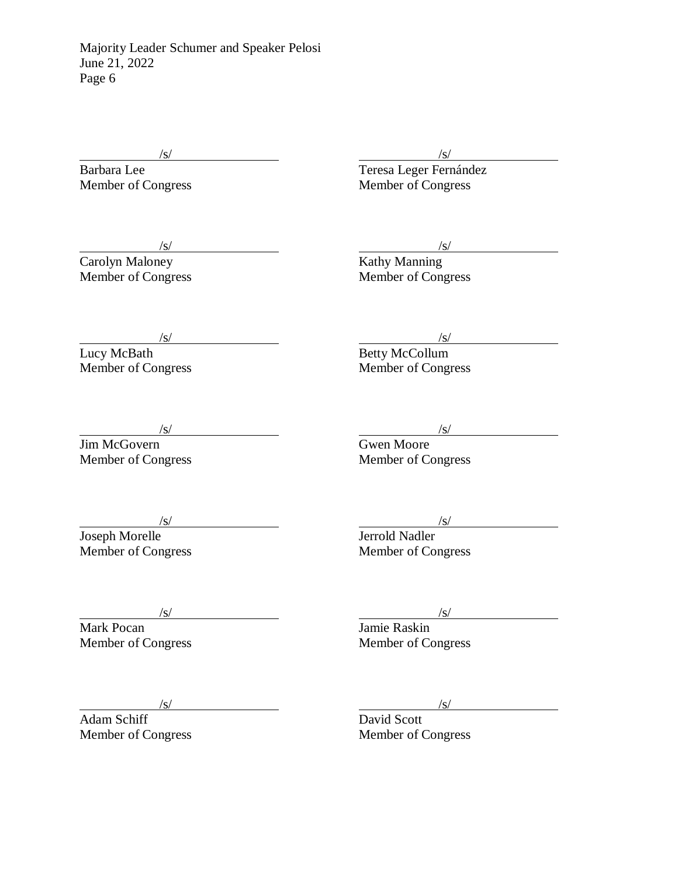$\frac{1}{s}$  /s/

Barbara Lee **Teresa Leger Fernández** Member of Congress Member of Congress

 $\frac{1}{s}$  /s/

Carolyn Maloney **Kathy Manning** Member of Congress Member of Congress

 $\frac{1}{s}$  /s/

Lucy McBath Betty McCollum Member of Congress Member of Congress

 $\frac{1}{s}$  /s/

Jim McGovern Gwen Moore

Member of Congress Member of Congress

 $\frac{1}{s}$  /s/

Joseph Morelle **Graduate Serverse Intervalse Serverse Jerrold Nadler** Member of Congress Member of Congress

Mark Pocan Jamie Raskin Member of Congress Member of Congress

 $\frac{1}{s}$  /s/

 $\frac{1}{s}$  /s/

Adam Schiff David Scott

Member of Congress Member of Congress